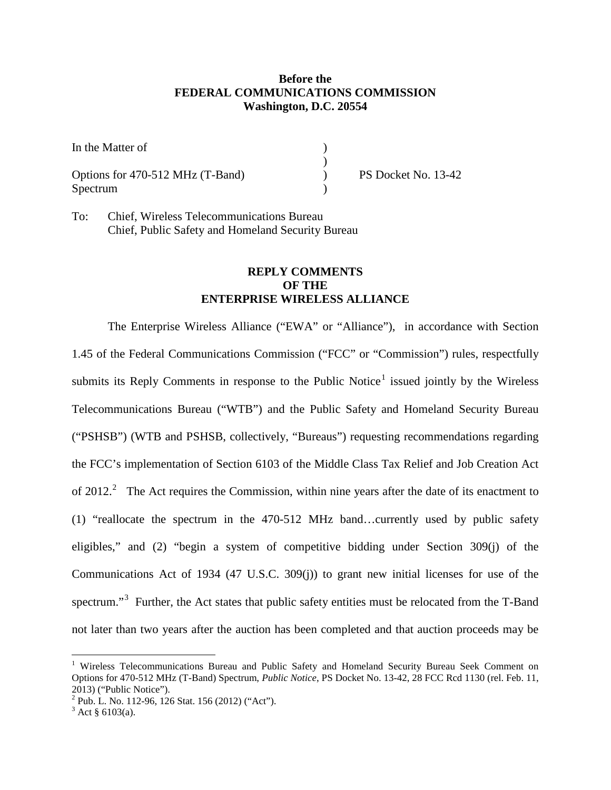## **Before the FEDERAL COMMUNICATIONS COMMISSION Washington, D.C. 20554**

| In the Matter of                 |                     |
|----------------------------------|---------------------|
|                                  |                     |
| Options for 470-512 MHz (T-Band) | PS Docket No. 13-42 |
| Spectrum                         |                     |

To: Chief, Wireless Telecommunications Bureau Chief, Public Safety and Homeland Security Bureau

## **REPLY COMMENTS OF THE ENTERPRISE WIRELESS ALLIANCE**

The Enterprise Wireless Alliance ("EWA" or "Alliance"), in accordance with Section 1.45 of the Federal Communications Commission ("FCC" or "Commission") rules, respectfully submits its Reply Comments in response to the Public Notice<sup>[1](#page-0-0)</sup> issued jointly by the Wireless Telecommunications Bureau ("WTB") and the Public Safety and Homeland Security Bureau ("PSHSB") (WTB and PSHSB, collectively, "Bureaus") requesting recommendations regarding the FCC's implementation of Section 6103 of the Middle Class Tax Relief and Job Creation Act of [2](#page-0-1)012.<sup>2</sup> The Act requires the Commission, within nine years after the date of its enactment to (1) "reallocate the spectrum in the 470-512 MHz band…currently used by public safety eligibles," and (2) "begin a system of competitive bidding under Section 309(j) of the Communications Act of 1934 (47 U.S.C. 309(j)) to grant new initial licenses for use of the spectrum."<sup>[3](#page-0-2)</sup> Further, the Act states that public safety entities must be relocated from the T-Band not later than two years after the auction has been completed and that auction proceeds may be

<span id="page-0-0"></span><sup>&</sup>lt;sup>1</sup> Wireless Telecommunications Bureau and Public Safety and Homeland Security Bureau Seek Comment on Options for 470-512 MHz (T-Band) Spectrum, *Public Notice*, PS Docket No. 13-42, 28 FCC Rcd 1130 (rel. Feb. 11, 2013) ("Public Notice").

<span id="page-0-1"></span><sup>&</sup>lt;sup>2</sup> Pub. L. No. 112-96, 126 Stat. 156 (2012) ("Act").<br><sup>3</sup> Act § 6103(a).

<span id="page-0-2"></span>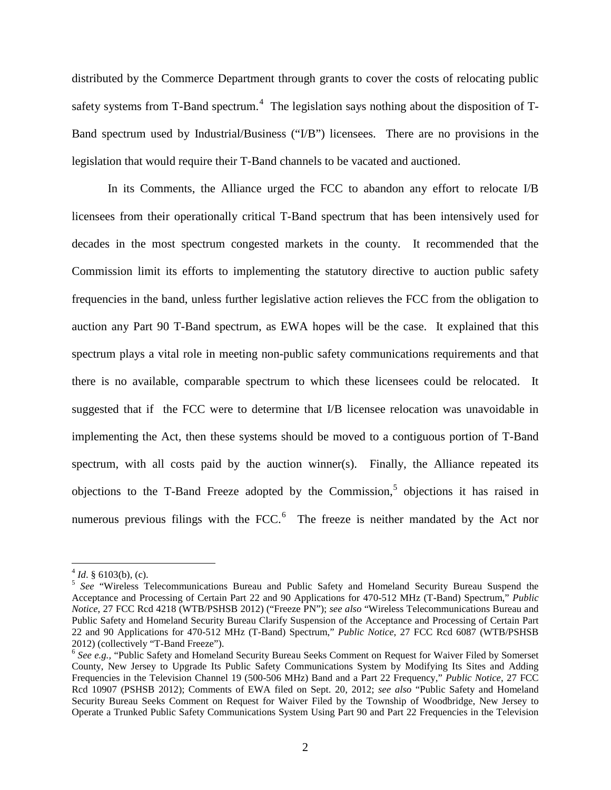distributed by the Commerce Department through grants to cover the costs of relocating public safety systems from T-Band spectrum.<sup>[4](#page-1-0)</sup> The legislation says nothing about the disposition of T-Band spectrum used by Industrial/Business ("I/B") licensees. There are no provisions in the legislation that would require their T-Band channels to be vacated and auctioned.

In its Comments, the Alliance urged the FCC to abandon any effort to relocate I/B licensees from their operationally critical T-Band spectrum that has been intensively used for decades in the most spectrum congested markets in the county. It recommended that the Commission limit its efforts to implementing the statutory directive to auction public safety frequencies in the band, unless further legislative action relieves the FCC from the obligation to auction any Part 90 T-Band spectrum, as EWA hopes will be the case. It explained that this spectrum plays a vital role in meeting non-public safety communications requirements and that there is no available, comparable spectrum to which these licensees could be relocated. It suggested that if the FCC were to determine that I/B licensee relocation was unavoidable in implementing the Act, then these systems should be moved to a contiguous portion of T-Band spectrum, with all costs paid by the auction winner(s). Finally, the Alliance repeated its objections to the T-Band Freeze adopted by the Commission, [5](#page-1-1) objections it has raised in numerous previous filings with the FCC.<sup>[6](#page-1-2)</sup> The freeze is neither mandated by the Act nor

 $4$  *Id.* § 6103(b), (c).

<span id="page-1-1"></span><span id="page-1-0"></span><sup>&</sup>lt;sup>5</sup> See "Wireless Telecommunications Bureau and Public Safety and Homeland Security Bureau Suspend the Acceptance and Processing of Certain Part 22 and 90 Applications for 470-512 MHz (T-Band) Spectrum," *Public Notice*, 27 FCC Rcd 4218 (WTB/PSHSB 2012) ("Freeze PN"); *see also* "Wireless Telecommunications Bureau and Public Safety and Homeland Security Bureau Clarify Suspension of the Acceptance and Processing of Certain Part 22 and 90 Applications for 470-512 MHz (T-Band) Spectrum," *Public Notice*, 27 FCC Rcd 6087 (WTB/PSHSB

<span id="page-1-2"></span><sup>&</sup>lt;sup>6</sup> See e.g., "Public Safety and Homeland Security Bureau Seeks Comment on Request for Waiver Filed by Somerset County, New Jersey to Upgrade Its Public Safety Communications System by Modifying Its Sites and Adding Frequencies in the Television Channel 19 (500-506 MHz) Band and a Part 22 Frequency," *Public Notice*, 27 FCC Rcd 10907 (PSHSB 2012); Comments of EWA filed on Sept. 20, 2012; *see also* "Public Safety and Homeland Security Bureau Seeks Comment on Request for Waiver Filed by the Township of Woodbridge, New Jersey to Operate a Trunked Public Safety Communications System Using Part 90 and Part 22 Frequencies in the Television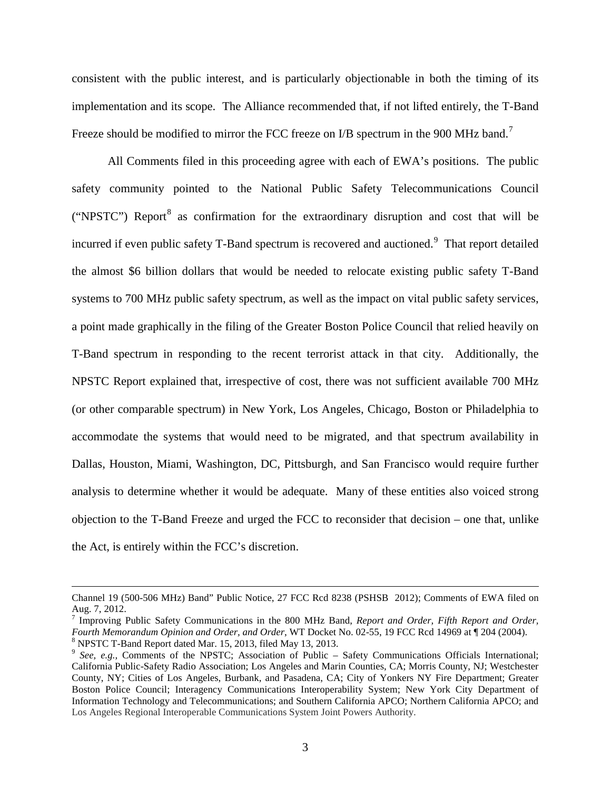consistent with the public interest, and is particularly objectionable in both the timing of its implementation and its scope. The Alliance recommended that, if not lifted entirely, the T-Band Freeze should be modified to mirror the FCC freeze on I/B spectrum in the 900 MHz band.<sup>[7](#page-2-0)</sup>

All Comments filed in this proceeding agree with each of EWA's positions. The public safety community pointed to the National Public Safety Telecommunications Council ("NPSTC") Report<sup>[8](#page-2-1)</sup> as confirmation for the extraordinary disruption and cost that will be incurred if even public safety T-Band spectrum is recovered and auctioned.<sup>[9](#page-2-2)</sup> That report detailed the almost \$6 billion dollars that would be needed to relocate existing public safety T-Band systems to 700 MHz public safety spectrum, as well as the impact on vital public safety services, a point made graphically in the filing of the Greater Boston Police Council that relied heavily on T-Band spectrum in responding to the recent terrorist attack in that city. Additionally, the NPSTC Report explained that, irrespective of cost, there was not sufficient available 700 MHz (or other comparable spectrum) in New York, Los Angeles, Chicago, Boston or Philadelphia to accommodate the systems that would need to be migrated, and that spectrum availability in Dallas, Houston, Miami, Washington, DC, Pittsburgh, and San Francisco would require further analysis to determine whether it would be adequate. Many of these entities also voiced strong objection to the T-Band Freeze and urged the FCC to reconsider that decision – one that, unlike the Act, is entirely within the FCC's discretion.

 $\overline{a}$ 

Channel 19 (500-506 MHz) Band" Public Notice, 27 FCC Rcd 8238 (PSHSB 2012); Comments of EWA filed on Aug. 7, 2012.

<span id="page-2-0"></span><sup>&</sup>lt;sup>7</sup> Improving Public Safety Communications in the 800 MHz Band, *Report and Order, Fifth Report and Order, Fourth Memorandum Opinion and Order, and Order, WT Docket No. 02-55, 19 FCC Rcd 14969 at ¶ 204 (2004).* 

<span id="page-2-2"></span><span id="page-2-1"></span><sup>&</sup>lt;sup>8</sup> NPSTC T-Band Report dated Mar. 15, 2013, filed May 13, 2013.<br><sup>9</sup> See, e.g., Comments of the NPSTC; Association of Public – Safety Communications Officials International; California Public-Safety Radio Association; Los Angeles and Marin Counties, CA; Morris County, NJ; Westchester County, NY; Cities of Los Angeles, Burbank, and Pasadena, CA; City of Yonkers NY Fire Department; Greater Boston Police Council; Interagency Communications Interoperability System; New York City Department of Information Technology and Telecommunications; and Southern California APCO; Northern California APCO; and Los Angeles Regional Interoperable Communications System Joint Powers Authority.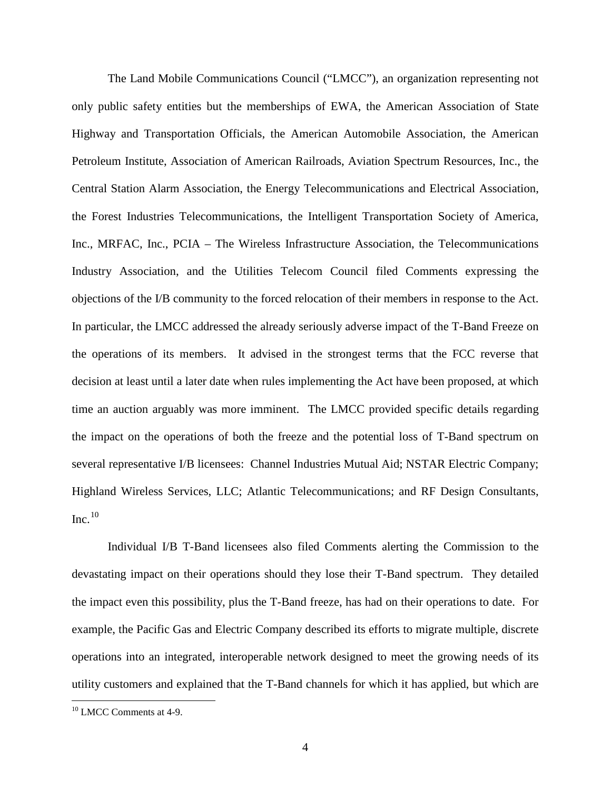The Land Mobile Communications Council ("LMCC"), an organization representing not only public safety entities but the memberships of EWA, the American Association of State Highway and Transportation Officials, the American Automobile Association, the American Petroleum Institute, Association of American Railroads, Aviation Spectrum Resources, Inc., the Central Station Alarm Association, the Energy Telecommunications and Electrical Association, the Forest Industries Telecommunications, the Intelligent Transportation Society of America, Inc., MRFAC, Inc., PCIA – The Wireless Infrastructure Association, the Telecommunications Industry Association, and the Utilities Telecom Council filed Comments expressing the objections of the I/B community to the forced relocation of their members in response to the Act. In particular, the LMCC addressed the already seriously adverse impact of the T-Band Freeze on the operations of its members. It advised in the strongest terms that the FCC reverse that decision at least until a later date when rules implementing the Act have been proposed, at which time an auction arguably was more imminent. The LMCC provided specific details regarding the impact on the operations of both the freeze and the potential loss of T-Band spectrum on several representative I/B licensees: Channel Industries Mutual Aid; NSTAR Electric Company; Highland Wireless Services, LLC; Atlantic Telecommunications; and RF Design Consultants, Inc. $^{10}$  $^{10}$  $^{10}$ 

Individual I/B T-Band licensees also filed Comments alerting the Commission to the devastating impact on their operations should they lose their T-Band spectrum. They detailed the impact even this possibility, plus the T-Band freeze, has had on their operations to date. For example, the Pacific Gas and Electric Company described its efforts to migrate multiple, discrete operations into an integrated, interoperable network designed to meet the growing needs of its utility customers and explained that the T-Band channels for which it has applied, but which are

<span id="page-3-0"></span><sup>&</sup>lt;sup>10</sup> LMCC Comments at 4-9.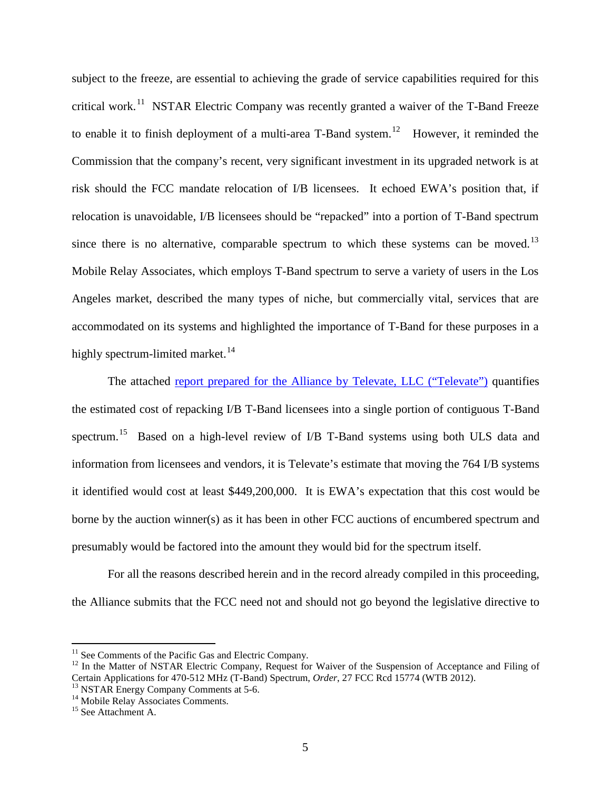subject to the freeze, are essential to achieving the grade of service capabilities required for this critical work.<sup>[11](#page-4-0)</sup> NSTAR Electric Company was recently granted a waiver of the T-Band Freeze to enable it to finish deployment of a multi-area T-Band system.<sup>[12](#page-4-1)</sup> However, it reminded the Commission that the company's recent, very significant investment in its upgraded network is at risk should the FCC mandate relocation of I/B licensees. It echoed EWA's position that, if relocation is unavoidable, I/B licensees should be "repacked" into a portion of T-Band spectrum since there is no alternative, comparable spectrum to which these systems can be moved.<sup>[13](#page-4-2)</sup> Mobile Relay Associates, which employs T-Band spectrum to serve a variety of users in the Los Angeles market, described the many types of niche, but commercially vital, services that are accommodated on its systems and highlighted the importance of T-Band for these purposes in a highly spectrum-limited market.<sup>[14](#page-4-3)</sup>

The attached [report prepared for the Alliance by](http://www.enterprisewireless.org/sites/default/files/imce/Regulatory/final_televate_t-band_cost_analysis.pdf) Televate, LLC ("Televate") quantifies the estimated cost of repacking I/B T-Band licensees into a single portion of contiguous T-Band spectrum.<sup>[15](#page-4-4)</sup> Based on a high-level review of I/B T-Band systems using both ULS data and information from licensees and vendors, it is Televate's estimate that moving the 764 I/B systems it identified would cost at least \$449,200,000. It is EWA's expectation that this cost would be borne by the auction winner(s) as it has been in other FCC auctions of encumbered spectrum and presumably would be factored into the amount they would bid for the spectrum itself.

For all the reasons described herein and in the record already compiled in this proceeding, the Alliance submits that the FCC need not and should not go beyond the legislative directive to

<span id="page-4-1"></span>

<span id="page-4-0"></span><sup>&</sup>lt;sup>11</sup> See Comments of the Pacific Gas and Electric Company.<br><sup>12</sup> In the Matter of NSTAR Electric Company, Request for Waiver of the Suspension of Acceptance and Filing of Certain Applications for 470-512 MHz (T-Band) Spectrum, *Order*, 27 FCC Rcd 15774 (WTB 2012).<br><sup>13</sup> NSTAR Energy Company Comments at 5-6.<br><sup>14</sup> Mobile Relay Associates Comments. <sup>15</sup> See Attachment A.

<span id="page-4-2"></span>

<span id="page-4-3"></span>

<span id="page-4-4"></span>